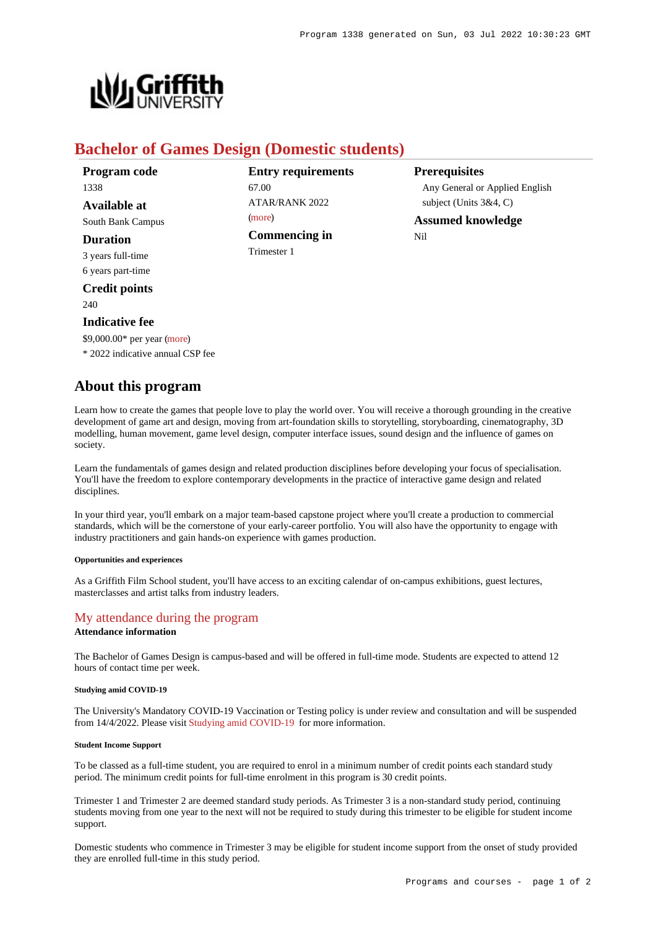**Prerequisites**

Nil

Any General or Applied English

subject (Units 3&4, C) **Assumed knowledge**



# **Bachelor of Games Design (Domestic students)**

67.00

[\(more](https://www148.griffith.edu.au/programs-courses/Program/1338/HowToApply/Domestic#tac-entry-requirements))

Trimester 1

**Entry requirements**

ATAR/RANK 2022

**Commencing in**

| Program code          |
|-----------------------|
| 1338                  |
| Available at          |
| South Bank Campus     |
| <b>Duration</b>       |
| 3 years full-time     |
| 6 years part-time     |
| <b>Credit points</b>  |
| 240                   |
| <b>Indicative fee</b> |

\$9,000.00\* per year [\(more](https://www148.griffith.edu.au/programs-courses/Program/1338/Overview/Domestic#fees))

\* 2022 indicative annual CSP fee

# **About this program**

Learn how to create the games that people love to play the world over. You will receive a thorough grounding in the creative development of game art and design, moving from art-foundation skills to storytelling, storyboarding, cinematography, 3D modelling, human movement, game level design, computer interface issues, sound design and the influence of games on society.

Learn the fundamentals of games design and related production disciplines before developing your focus of specialisation. You'll have the freedom to explore contemporary developments in the practice of interactive game design and related disciplines.

In your third year, you'll embark on a major team-based capstone project where you'll create a production to commercial standards, which will be the cornerstone of your early-career portfolio. You will also have the opportunity to engage with industry practitioners and gain hands-on experience with games production.

#### **Opportunities and experiences**

As a Griffith Film School student, you'll have access to an exciting calendar of on-campus exhibitions, guest lectures, masterclasses and artist talks from industry leaders.

# [My attendance during the program](https://www148.griffith.edu.au/programs-courses/Program/1338/Overview/#attendance)

## **Attendance information**

The Bachelor of Games Design is campus-based and will be offered in full-time mode. Students are expected to attend 12 hours of contact time per week.

#### **Studying amid COVID-19**

The University's Mandatory COVID-19 Vaccination or Testing policy is under review and consultation and will be suspended from 14/4/2022. Please visit [Studying amid COVID-19](https://www.griffith.edu.au/coronavirus/studying-amid-covid-19) for more information.

## **Student Income Support**

To be classed as a full-time student, you are required to enrol in a minimum number of credit points each standard study period. The minimum credit points for full-time enrolment in this program is 30 credit points.

Trimester 1 and Trimester 2 are deemed standard study periods. As Trimester 3 is a non-standard study period, continuing students moving from one year to the next will not be required to study during this trimester to be eligible for student income support.

Domestic students who commence in Trimester 3 may be eligible for student income support from the onset of study provided they are enrolled full-time in this study period.